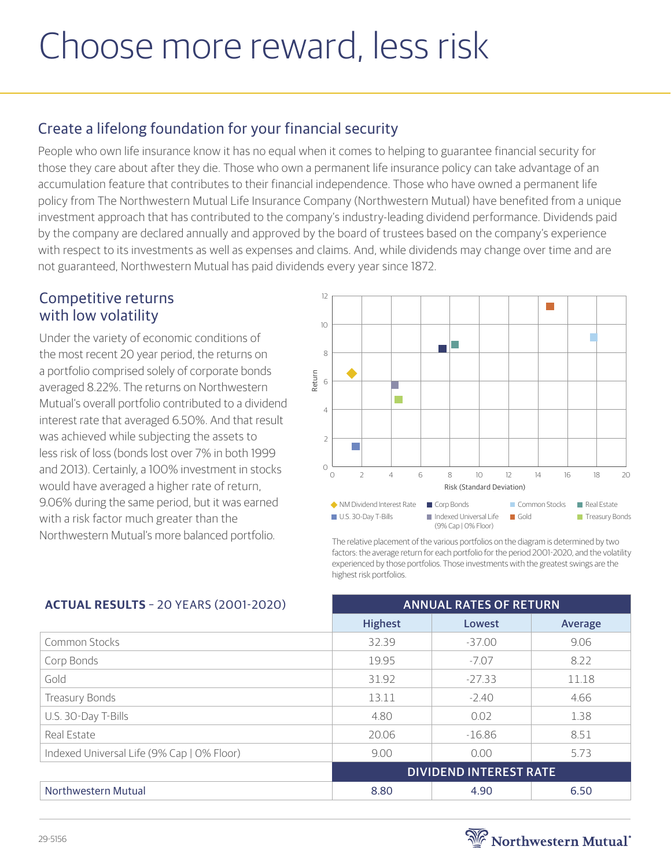# Choose more reward, less risk

## Create a lifelong foundation for your financial security

People who own life insurance know it has no equal when it comes to helping to guarantee financial security for those they care about after they die. Those who own a permanent life insurance policy can take advantage of an accumulation feature that contributes to their financial independence. Those who have owned a permanent life policy from The Northwestern Mutual Life Insurance Company (Northwestern Mutual) have benefited from a unique investment approach that has contributed to the company's industry-leading dividend performance. Dividends paid by the company are declared annually and approved by the board of trustees based on the company's experience with respect to its investments as well as expenses and claims. And, while dividends may change over time and are not guaranteed, Northwestern Mutual has paid dividends every year since 1872.

#### Competitive returns with low volatility

Under the variety of economic conditions of the most recent 20 year period, the returns on a portfolio comprised solely of corporate bonds averaged 8.22%. The returns on Northwestern Mutual's overall portfolio contributed to a dividend interest rate that averaged 6.50%. And that result was achieved while subjecting the assets to less risk of loss (bonds lost over 7% in both 1999 and 2013). Certainly, a 100% investment in stocks would have averaged a higher rate of return, 9.06% during the same period, but it was earned with a risk factor much greater than the Northwestern Mutual's more balanced portfolio.



The relative placement of the various portfolios on the diagram is determined by two factors: the average return for each portfolio for the period 2001-2020, and the volatility experienced by those portfolios. Those investments with the greatest swings are the highest risk portfolios.

| <b>ACTUAL RESULTS - 20 YEARS (2001-2020)</b> | <b>ANNUAL RATES OF RETURN</b> |          |         |
|----------------------------------------------|-------------------------------|----------|---------|
|                                              | <b>Highest</b>                | Lowest   | Average |
| Common Stocks                                | 32.39                         | $-37.00$ | 9.06    |
| Corp Bonds                                   | 19.95                         | $-7.07$  | 8.22    |
| Gold                                         | 31.92                         | $-27.33$ | 11.18   |
| Treasury Bonds                               | 13.11                         | $-2.40$  | 4.66    |
| U.S. 30-Day T-Bills                          | 4.80                          | 0.02     | 1.38    |
| Real Estate                                  | 20.06                         | $-16.86$ | 8.51    |
| Indexed Universal Life (9% Cap   0% Floor)   | 9.00                          | 0.00     | 5.73    |
|                                              | <b>DIVIDEND INTEREST RATE</b> |          |         |
| Northwestern Mutual                          | 8.80                          | 4.90     | 6.50    |